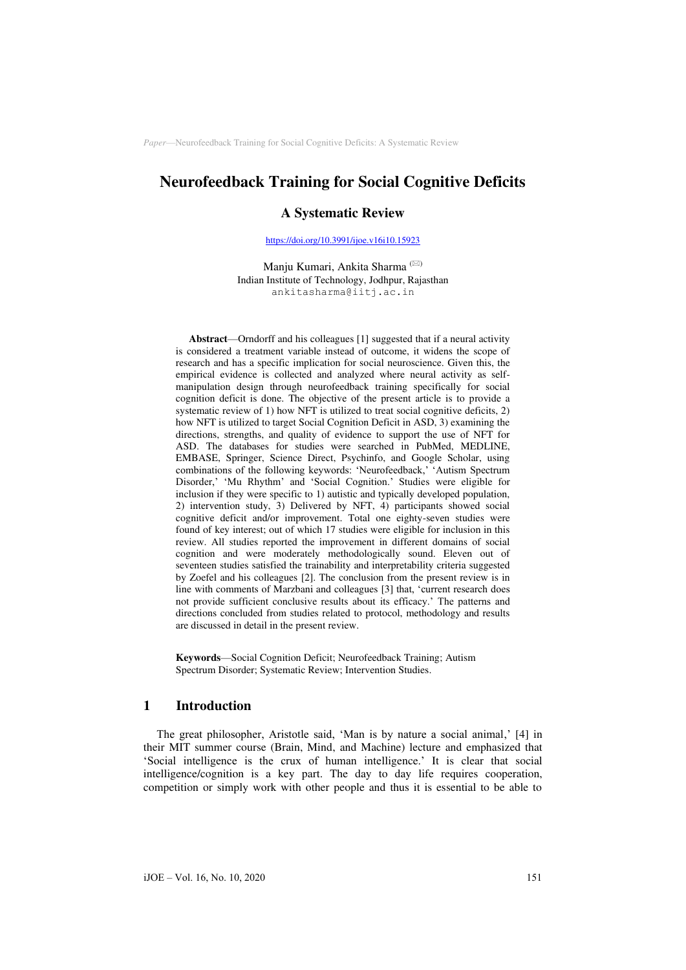# **Neurofeedback Training for Social Cognitive Deficits**

### **A Systematic Review**

[https://doi.org/10.3991/ijoe.v16i10.15923](https://doi.org/10.3991/ijoe.v16i10.15923%0d) 

Manju Kumari, Ankita Sharma<sup>(⊠)</sup> Indian Institute of Technology, Jodhpur, Rajasthan ankitasharma@iitj.ac.in

**Abstract**—Orndorff and his colleagues [1] suggested that if a neural activity is considered a treatment variable instead of outcome, it widens the scope of research and has a specific implication for social neuroscience. Given this, the empirical evidence is collected and analyzed where neural activity as selfmanipulation design through neurofeedback training specifically for social cognition deficit is done. The objective of the present article is to provide a systematic review of 1) how NFT is utilized to treat social cognitive deficits, 2) how NFT is utilized to target Social Cognition Deficit in ASD, 3) examining the directions, strengths, and quality of evidence to support the use of NFT for ASD. The databases for studies were searched in PubMed, MEDLINE, EMBASE, Springer, Science Direct, Psychinfo, and Google Scholar, using combinations of the following keywords: 'Neurofeedback,' 'Autism Spectrum Disorder,' 'Mu Rhythm' and 'Social Cognition.' Studies were eligible for inclusion if they were specific to 1) autistic and typically developed population, 2) intervention study, 3) Delivered by NFT, 4) participants showed social cognitive deficit and/or improvement. Total one eighty-seven studies were found of key interest; out of which 17 studies were eligible for inclusion in this review. All studies reported the improvement in different domains of social cognition and were moderately methodologically sound. Eleven out of seventeen studies satisfied the trainability and interpretability criteria suggested by Zoefel and his colleagues [2]. The conclusion from the present review is in line with comments of Marzbani and colleagues [3] that, 'current research does not provide sufficient conclusive results about its efficacy.' The patterns and directions concluded from studies related to protocol, methodology and results are discussed in detail in the present review.

**Keywords**—Social Cognition Deficit; Neurofeedback Training; Autism Spectrum Disorder; Systematic Review; Intervention Studies.

## **1 Introduction**

The great philosopher, Aristotle said, 'Man is by nature a social animal,' [4] in their MIT summer course (Brain, Mind, and Machine) lecture and emphasized that 'Social intelligence is the crux of human intelligence.' It is clear that social intelligence/cognition is a key part. The day to day life requires cooperation, competition or simply work with other people and thus it is essential to be able to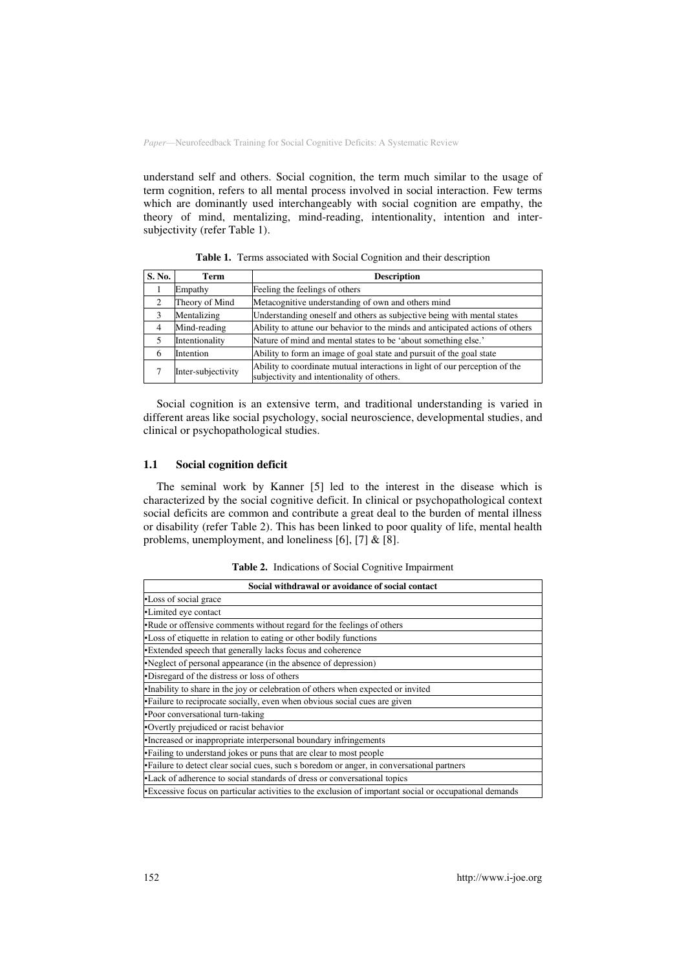understand self and others. Social cognition, the term much similar to the usage of term cognition, refers to all mental process involved in social interaction. Few terms which are dominantly used interchangeably with social cognition are empathy, the theory of mind, mentalizing, mind-reading, intentionality, intention and intersubjectivity (refer Table 1).

| S. No. | Term               | <b>Description</b>                                                                                                        |  |  |
|--------|--------------------|---------------------------------------------------------------------------------------------------------------------------|--|--|
|        | Empathy            | Feeling the feelings of others                                                                                            |  |  |
| ◠      | Theory of Mind     | Metacognitive understanding of own and others mind                                                                        |  |  |
| 3      | Mentalizing        | Understanding oneself and others as subjective being with mental states                                                   |  |  |
|        | Mind-reading       | Ability to attune our behavior to the minds and anticipated actions of others                                             |  |  |
|        | Intentionality     | Nature of mind and mental states to be 'about something else.'                                                            |  |  |
| 6      | Intention          | Ability to form an image of goal state and pursuit of the goal state                                                      |  |  |
|        | Inter-subjectivity | Ability to coordinate mutual interactions in light of our perception of the<br>subjectivity and intentionality of others. |  |  |

**Table 1.** Terms associated with Social Cognition and their description

Social cognition is an extensive term, and traditional understanding is varied in different areas like social psychology, social neuroscience, developmental studies, and clinical or psychopathological studies.

### **1.1 Social cognition deficit**

The seminal work by Kanner [5] led to the interest in the disease which is characterized by the social cognitive deficit. In clinical or psychopathological context social deficits are common and contribute a great deal to the burden of mental illness or disability (refer Table 2). This has been linked to poor quality of life, mental health problems, unemployment, and loneliness [6], [7] & [8].

**Table 2.** Indications of Social Cognitive Impairment

| Social withdrawal or avoidance of social contact                                                        |
|---------------------------------------------------------------------------------------------------------|
| •Loss of social grace                                                                                   |
| •Limited eye contact                                                                                    |
| •Rude or offensive comments without regard for the feelings of others                                   |
| •Loss of etiquette in relation to eating or other bodily functions                                      |
| •Extended speech that generally lacks focus and coherence                                               |
| •Neglect of personal appearance (in the absence of depression)                                          |
| •Disregard of the distress or loss of others                                                            |
| ·Inability to share in the joy or celebration of others when expected or invited                        |
| •Failure to reciprocate socially, even when obvious social cues are given                               |
| •Poor conversational turn-taking                                                                        |
| •Overtly prejudiced or racist behavior                                                                  |
| •Increased or inappropriate interpersonal boundary infringements                                        |
| • Failing to understand jokes or puns that are clear to most people                                     |
| ·Failure to detect clear social cues, such s boredom or anger, in conversational partners               |
| •Lack of adherence to social standards of dress or conversational topics                                |
| • Excessive focus on particular activities to the exclusion of important social or occupational demands |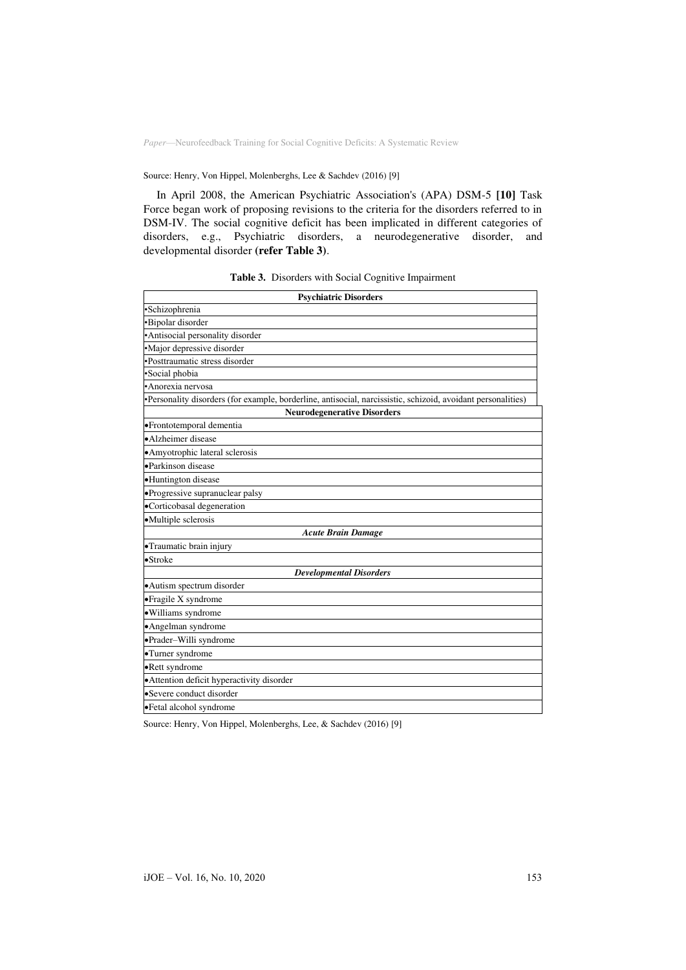### Source: Henry, Von Hippel, Molenberghs, Lee & Sachdev (2016) [9]

In April 2008, the American Psychiatric Association's (APA) DSM-5 **[10]** Task Force began work of proposing revisions to the criteria for the disorders referred to in DSM-IV. The social cognitive deficit has been implicated in different categories of disorders, e.g., Psychiatric disorders, a neurodegenerative disorder, and developmental disorder **(refer Table 3)**.

| <b>Psychiatric Disorders</b>                                                                                 |
|--------------------------------------------------------------------------------------------------------------|
| ·Schizophrenia                                                                                               |
| ·Bipolar disorder                                                                                            |
| ·Antisocial personality disorder                                                                             |
| ·Major depressive disorder                                                                                   |
| •Posttraumatic stress disorder                                                                               |
| ·Social phobia                                                                                               |
| ·Anorexia nervosa                                                                                            |
| •Personality disorders (for example, borderline, antisocial, narcissistic, schizoid, avoidant personalities) |
| <b>Neurodegenerative Disorders</b>                                                                           |
| ·Frontotemporal dementia                                                                                     |
| •Alzheimer disease                                                                                           |
| • Amyotrophic lateral sclerosis                                                                              |
| ·Parkinson disease                                                                                           |
| •Huntington disease                                                                                          |
| ·Progressive supranuclear palsy                                                                              |
| ·Corticobasal degeneration                                                                                   |
| ·Multiple sclerosis                                                                                          |
| <b>Acute Brain Damage</b>                                                                                    |
| • Traumatic brain injury                                                                                     |
| $\bullet$ Stroke                                                                                             |
| <b>Developmental Disorders</b>                                                                               |
| • Autism spectrum disorder                                                                                   |
| •Fragile X syndrome                                                                                          |
| · Williams syndrome                                                                                          |
| ·Angelman syndrome                                                                                           |
| ·Prader-Willi syndrome                                                                                       |
| •Turner syndrome                                                                                             |
| •Rett syndrome                                                                                               |
| · Attention deficit hyperactivity disorder                                                                   |
| •Severe conduct disorder                                                                                     |
| ·Fetal alcohol syndrome                                                                                      |

Source: Henry, Von Hippel, Molenberghs, Lee, & Sachdev (2016) [9]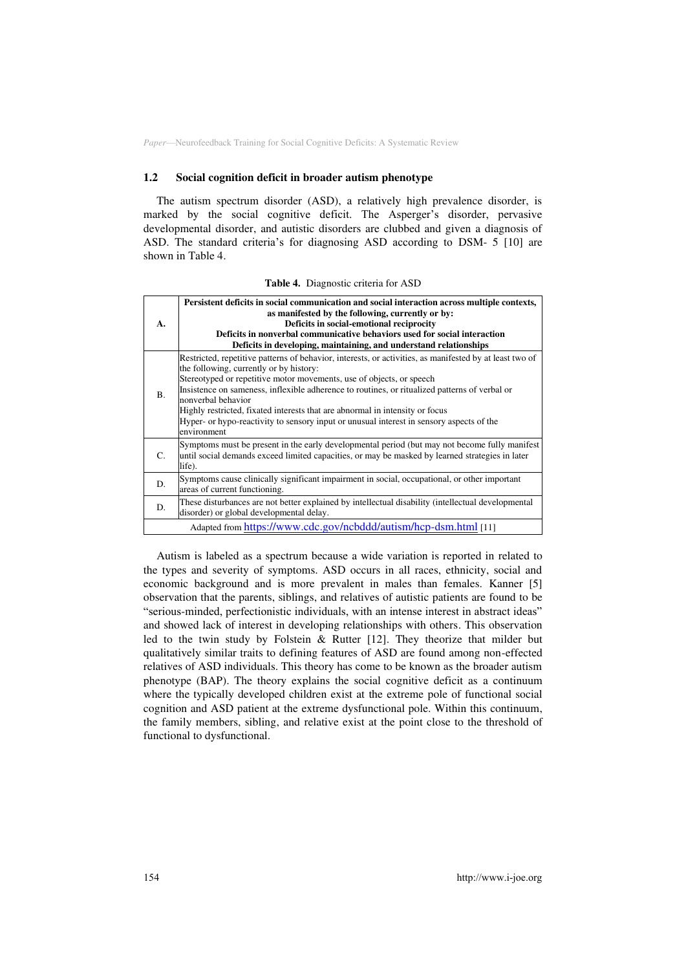#### **1.2 Social cognition deficit in broader autism phenotype**

The autism spectrum disorder (ASD), a relatively high prevalence disorder, is marked by the social cognitive deficit. The Asperger's disorder, pervasive developmental disorder, and autistic disorders are clubbed and given a diagnosis of ASD. The standard criteria's for diagnosing ASD according to DSM- 5 [10] are shown in Table 4.

| A. | Persistent deficits in social communication and social interaction across multiple contexts,<br>as manifested by the following, currently or by:<br>Deficits in social-emotional reciprocity<br>Deficits in nonverbal communicative behaviors used for social interaction<br>Deficits in developing, maintaining, and understand relationships                                                                                                                                                                                               |
|----|----------------------------------------------------------------------------------------------------------------------------------------------------------------------------------------------------------------------------------------------------------------------------------------------------------------------------------------------------------------------------------------------------------------------------------------------------------------------------------------------------------------------------------------------|
| B. | Restricted, repetitive patterns of behavior, interests, or activities, as manifested by at least two of<br>the following, currently or by history:<br>Stereotyped or repetitive motor movements, use of objects, or speech<br>Insistence on sameness, inflexible adherence to routines, or ritualized patterns of verbal or<br>nonverbal behavior<br>Highly restricted, fixated interests that are abnormal in intensity or focus<br>Hyper- or hypo-reactivity to sensory input or unusual interest in sensory aspects of the<br>environment |
| C. | Symptoms must be present in the early developmental period (but may not become fully manifest)<br>until social demands exceed limited capacities, or may be masked by learned strategies in later<br>life).                                                                                                                                                                                                                                                                                                                                  |
| D. | Symptoms cause clinically significant impairment in social, occupational, or other important<br>areas of current functioning.                                                                                                                                                                                                                                                                                                                                                                                                                |
| D. | These disturbances are not better explained by intellectual disability (intellectual developmental<br>disorder) or global developmental delay.                                                                                                                                                                                                                                                                                                                                                                                               |
|    | Adapted from https://www.cdc.gov/ncbddd/autism/hcp-dsm.html [11]                                                                                                                                                                                                                                                                                                                                                                                                                                                                             |

**Table 4.** Diagnostic criteria for ASD

Autism is labeled as a spectrum because a wide variation is reported in related to the types and severity of symptoms. ASD occurs in all races, ethnicity, social and economic background and is more prevalent in males than females. Kanner [5] observation that the parents, siblings, and relatives of autistic patients are found to be "serious-minded, perfectionistic individuals, with an intense interest in abstract ideas" and showed lack of interest in developing relationships with others. This observation led to the twin study by Folstein & Rutter [12]. They theorize that milder but qualitatively similar traits to defining features of ASD are found among non-effected relatives of ASD individuals. This theory has come to be known as the broader autism phenotype (BAP). The theory explains the social cognitive deficit as a continuum where the typically developed children exist at the extreme pole of functional social cognition and ASD patient at the extreme dysfunctional pole. Within this continuum, the family members, sibling, and relative exist at the point close to the threshold of functional to dysfunctional.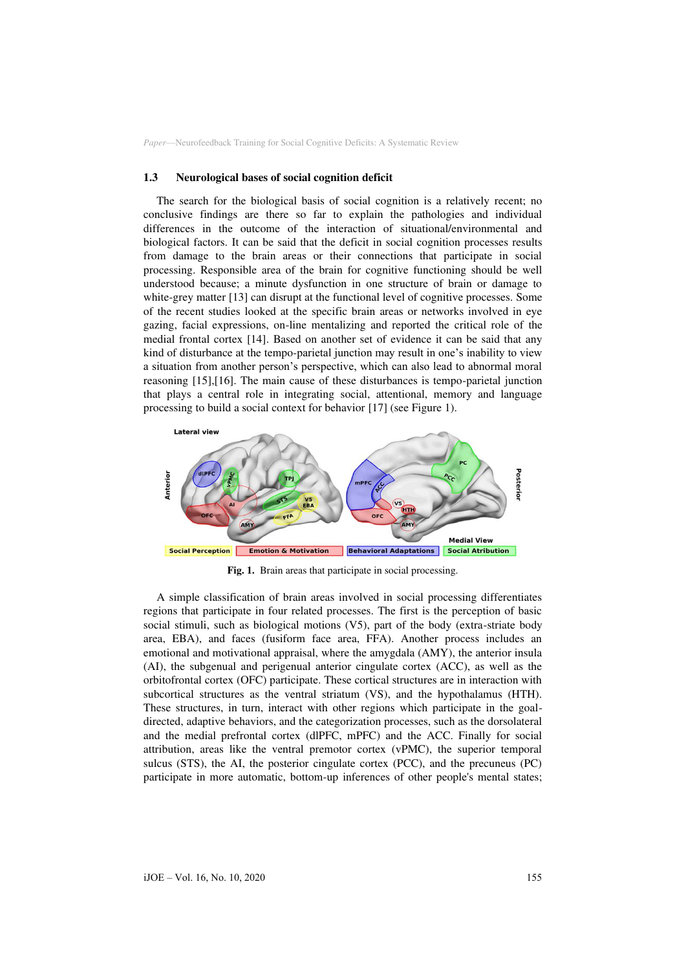#### **1.3 Neurological bases of social cognition deficit**

The search for the biological basis of social cognition is a relatively recent; no conclusive findings are there so far to explain the pathologies and individual differences in the outcome of the interaction of situational/environmental and biological factors. It can be said that the deficit in social cognition processes results from damage to the brain areas or their connections that participate in social processing. Responsible area of the brain for cognitive functioning should be well understood because; a minute dysfunction in one structure of brain or damage to white-grey matter [13] can disrupt at the functional level of cognitive processes. Some of the recent studies looked at the specific brain areas or networks involved in eye gazing, facial expressions, on-line mentalizing and reported the critical role of the medial frontal cortex [14]. Based on another set of evidence it can be said that any kind of disturbance at the tempo-parietal junction may result in one's inability to view a situation from another person's perspective, which can also lead to abnormal moral reasoning [15],[16]. The main cause of these disturbances is tempo-parietal junction that plays a central role in integrating social, attentional, memory and language processing to build a social context for behavior [17] (see Figure 1).



**Fig. 1.** Brain areas that participate in social processing.

A simple classification of brain areas involved in social processing differentiates regions that participate in four related processes. The first is the perception of basic social stimuli, such as biological motions (V5), part of the body (extra-striate body area, EBA), and faces (fusiform face area, FFA). Another process includes an emotional and motivational appraisal, where the amygdala (AMY), the anterior insula (AI), the subgenual and perigenual anterior cingulate cortex (ACC), as well as the orbitofrontal cortex (OFC) participate. These cortical structures are in interaction with subcortical structures as the ventral striatum (VS), and the hypothalamus (HTH). These structures, in turn, interact with other regions which participate in the goaldirected, adaptive behaviors, and the categorization processes, such as the dorsolateral and the medial prefrontal cortex (dlPFC, mPFC) and the ACC. Finally for social attribution, areas like the ventral premotor cortex (vPMC), the superior temporal sulcus (STS), the AI, the posterior cingulate cortex (PCC), and the precuneus (PC) participate in more automatic, bottom-up inferences of other people's mental states;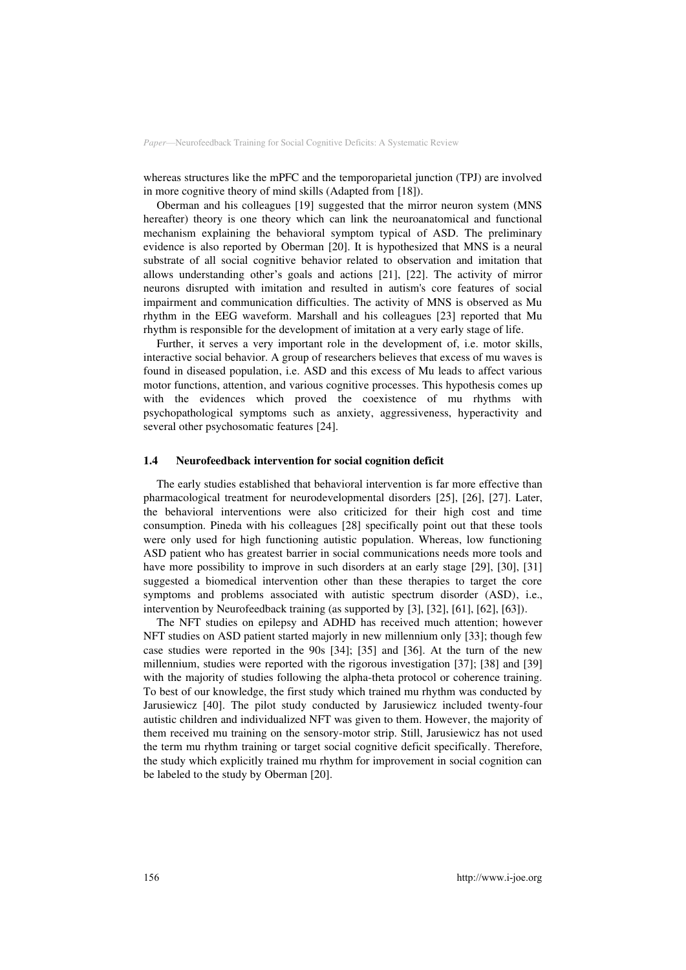whereas structures like the mPFC and the temporoparietal junction (TPJ) are involved in more cognitive theory of mind skills (Adapted from [18]).

Oberman and his colleagues [19] suggested that the mirror neuron system (MNS hereafter) theory is one theory which can link the neuroanatomical and functional mechanism explaining the behavioral symptom typical of ASD. The preliminary evidence is also reported by Oberman [20]. It is hypothesized that MNS is a neural substrate of all social cognitive behavior related to observation and imitation that allows understanding other's goals and actions [21], [22]. The activity of mirror neurons disrupted with imitation and resulted in autism's core features of social impairment and communication difficulties. The activity of MNS is observed as Mu rhythm in the EEG waveform. Marshall and his colleagues [23] reported that Mu rhythm is responsible for the development of imitation at a very early stage of life.

Further, it serves a very important role in the development of, i.e. motor skills, interactive social behavior. A group of researchers believes that excess of mu waves is found in diseased population, i.e. ASD and this excess of Mu leads to affect various motor functions, attention, and various cognitive processes. This hypothesis comes up with the evidences which proved the coexistence of mu rhythms with psychopathological symptoms such as anxiety, aggressiveness, hyperactivity and several other psychosomatic features [24].

#### **1.4 Neurofeedback intervention for social cognition deficit**

The early studies established that behavioral intervention is far more effective than pharmacological treatment for neurodevelopmental disorders [25], [26], [27]. Later, the behavioral interventions were also criticized for their high cost and time consumption. Pineda with his colleagues [28] specifically point out that these tools were only used for high functioning autistic population. Whereas, low functioning ASD patient who has greatest barrier in social communications needs more tools and have more possibility to improve in such disorders at an early stage [29], [30], [31] suggested a biomedical intervention other than these therapies to target the core symptoms and problems associated with autistic spectrum disorder (ASD), i.e., intervention by Neurofeedback training (as supported by [3], [32], [61], [62], [63]).

The NFT studies on epilepsy and ADHD has received much attention; however NFT studies on ASD patient started majorly in new millennium only [33]; though few case studies were reported in the 90s [34]; [35] and [36]. At the turn of the new millennium, studies were reported with the rigorous investigation [37]; [38] and [39] with the majority of studies following the alpha-theta protocol or coherence training. To best of our knowledge, the first study which trained mu rhythm was conducted by Jarusiewicz [40]. The pilot study conducted by Jarusiewicz included twenty-four autistic children and individualized NFT was given to them. However, the majority of them received mu training on the sensory-motor strip. Still, Jarusiewicz has not used the term mu rhythm training or target social cognitive deficit specifically. Therefore, the study which explicitly trained mu rhythm for improvement in social cognition can be labeled to the study by Oberman [20].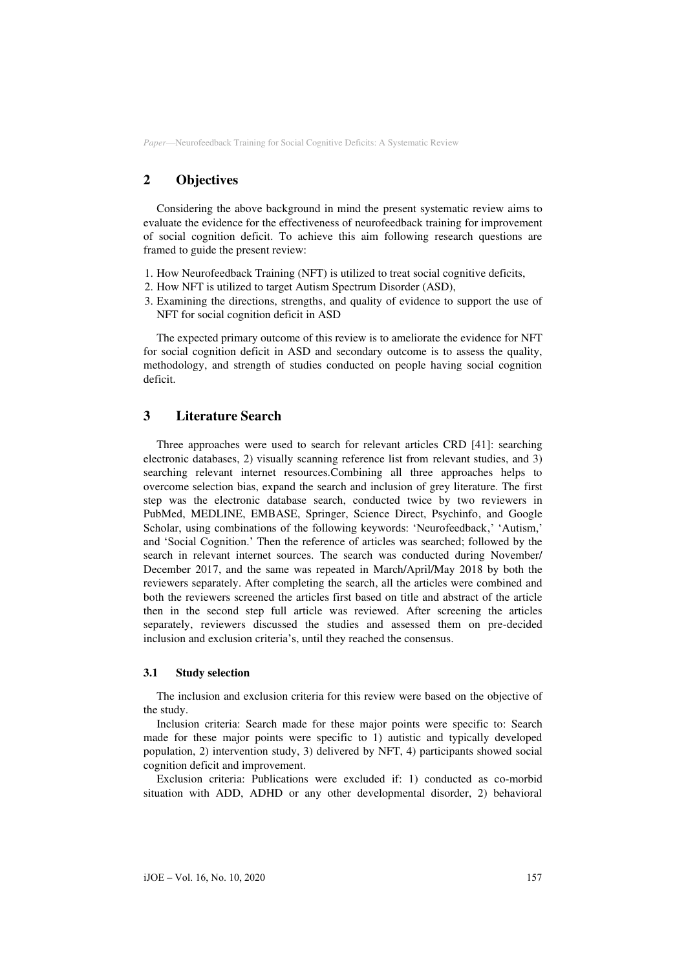# **2 Objectives**

Considering the above background in mind the present systematic review aims to evaluate the evidence for the effectiveness of neurofeedback training for improvement of social cognition deficit. To achieve this aim following research questions are framed to guide the present review:

- 1. How Neurofeedback Training (NFT) is utilized to treat social cognitive deficits,
- 2. How NFT is utilized to target Autism Spectrum Disorder (ASD),
- 3. Examining the directions, strengths, and quality of evidence to support the use of NFT for social cognition deficit in ASD

The expected primary outcome of this review is to ameliorate the evidence for NFT for social cognition deficit in ASD and secondary outcome is to assess the quality, methodology, and strength of studies conducted on people having social cognition deficit.

## **3 Literature Search**

Three approaches were used to search for relevant articles CRD [41]: searching electronic databases, 2) visually scanning reference list from relevant studies, and 3) searching relevant internet resources.Combining all three approaches helps to overcome selection bias, expand the search and inclusion of grey literature. The first step was the electronic database search, conducted twice by two reviewers in PubMed, MEDLINE, EMBASE, Springer, Science Direct, Psychinfo, and Google Scholar, using combinations of the following keywords: 'Neurofeedback,' 'Autism,' and 'Social Cognition.' Then the reference of articles was searched; followed by the search in relevant internet sources. The search was conducted during November/ December 2017, and the same was repeated in March/April/May 2018 by both the reviewers separately. After completing the search, all the articles were combined and both the reviewers screened the articles first based on title and abstract of the article then in the second step full article was reviewed. After screening the articles separately, reviewers discussed the studies and assessed them on pre-decided inclusion and exclusion criteria's, until they reached the consensus.

## **3.1 Study selection**

The inclusion and exclusion criteria for this review were based on the objective of the study.

Inclusion criteria: Search made for these major points were specific to: Search made for these major points were specific to 1) autistic and typically developed population, 2) intervention study, 3) delivered by NFT, 4) participants showed social cognition deficit and improvement.

Exclusion criteria: Publications were excluded if: 1) conducted as co-morbid situation with ADD, ADHD or any other developmental disorder, 2) behavioral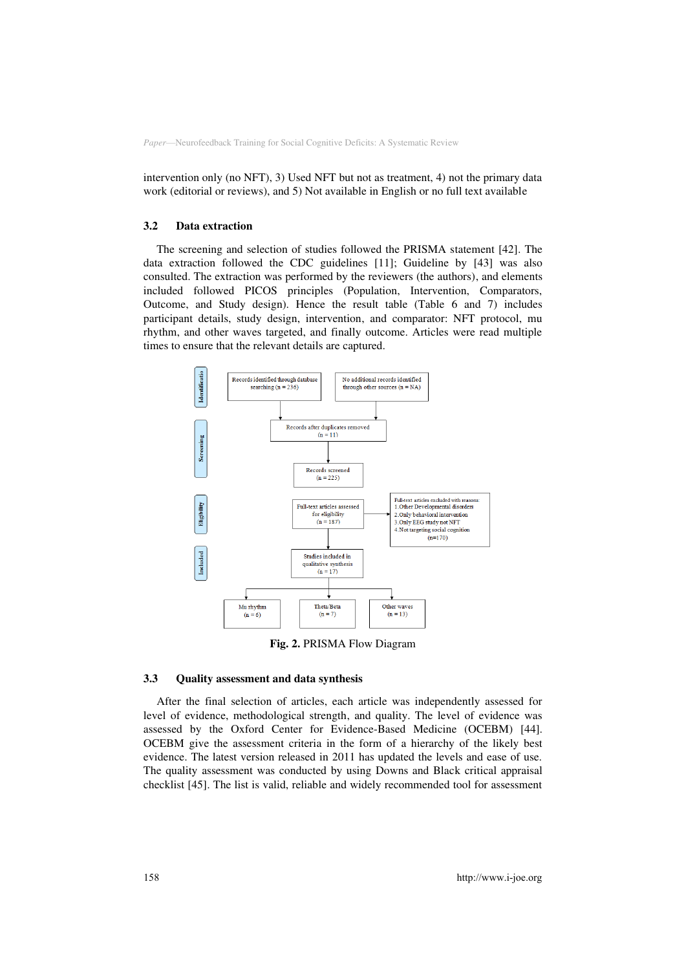intervention only (no NFT), 3) Used NFT but not as treatment, 4) not the primary data work (editorial or reviews), and 5) Not available in English or no full text available

#### **3.2 Data extraction**

The screening and selection of studies followed the PRISMA statement [42]. The data extraction followed the CDC guidelines [11]; Guideline by [43] was also consulted. The extraction was performed by the reviewers (the authors), and elements included followed PICOS principles (Population, Intervention, Comparators, Outcome, and Study design). Hence the result table (Table 6 and 7) includes participant details, study design, intervention, and comparator: NFT protocol, mu rhythm, and other waves targeted, and finally outcome. Articles were read multiple times to ensure that the relevant details are captured.



**Fig. 2.** PRISMA Flow Diagram

#### **3.3 Quality assessment and data synthesis**

After the final selection of articles, each article was independently assessed for level of evidence, methodological strength, and quality. The level of evidence was assessed by the Oxford Center for Evidence-Based Medicine (OCEBM) [44]. OCEBM give the assessment criteria in the form of a hierarchy of the likely best evidence. The latest version released in 2011 has updated the levels and ease of use. The quality assessment was conducted by using Downs and Black critical appraisal checklist [45]. The list is valid, reliable and widely recommended tool for assessment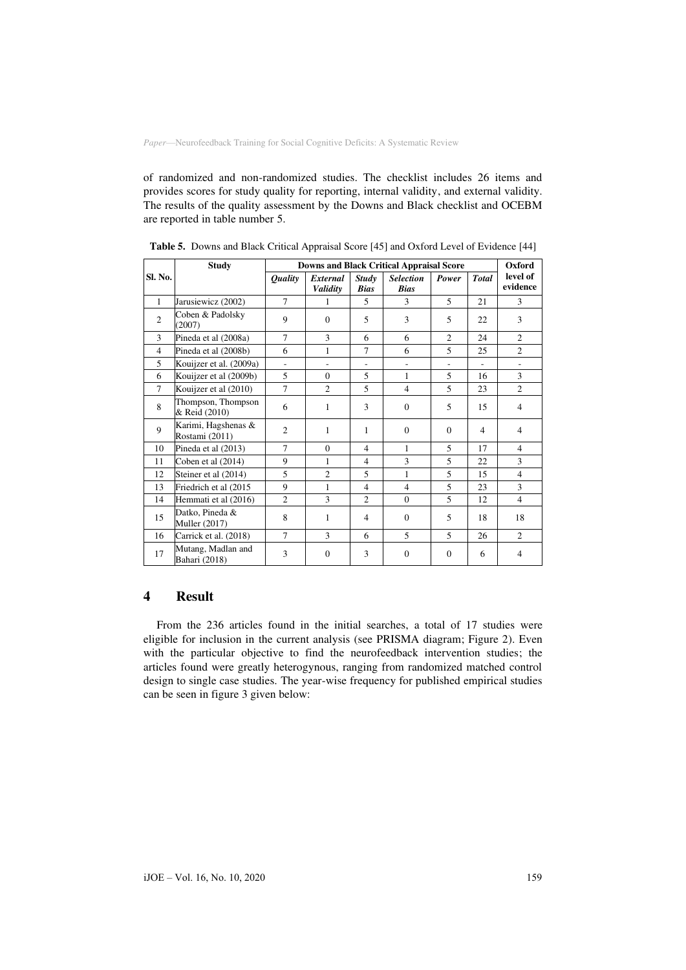of randomized and non-randomized studies. The checklist includes 26 items and provides scores for study quality for reporting, internal validity, and external validity. The results of the quality assessment by the Downs and Black checklist and OCEBM are reported in table number 5.

|                | <b>Study</b>                            | <b>Downs and Black Critical Appraisal Score</b> |                          |                             |                                 |                |              | Oxford                   |
|----------------|-----------------------------------------|-------------------------------------------------|--------------------------|-----------------------------|---------------------------------|----------------|--------------|--------------------------|
| Sl. No.        |                                         | <i><b>Quality</b></i>                           | External<br>Validity     | <b>Study</b><br><b>Bias</b> | <b>Selection</b><br><b>Bias</b> | Power          | <b>Total</b> | level of<br>evidence     |
| $\mathbf{1}$   | Jarusiewicz (2002)                      | $\tau$                                          | 1                        | 5                           | 3                               | 5              | 21           | 3                        |
| $\overline{2}$ | Coben & Padolsky<br>(2007)              | 9                                               | $\Omega$                 | 5                           | 3                               | 5              | 22           | 3                        |
| 3              | Pineda et al (2008a)                    | $\tau$                                          | 3                        | 6                           | 6                               | $\overline{c}$ | 24           | $\overline{c}$           |
| $\overline{4}$ | Pineda et al (2008b)                    | 6                                               | 1                        | $\tau$                      | 6                               | 5              | 25           | $\overline{c}$           |
| 5              | Kouijzer et al. (2009a)                 | ÷,                                              | $\overline{\phantom{m}}$ | ÷.                          |                                 |                |              |                          |
| 6              | Kouijzer et al (2009b)                  | 5                                               | $\Omega$                 | 5                           | 1                               | 5              | 16           | 3                        |
| $\tau$         | Kouijzer et al (2010)                   | 7                                               | $\overline{c}$           | 5                           | $\overline{4}$                  | 5              | 23           | 2                        |
| 8              | Thompson, Thompson<br>& Reid (2010)     | 6                                               | 1                        | 3                           | $\Omega$                        | 5              | 15           | $\overline{4}$           |
| 9              | Karimi, Hagshenas &<br>Rostami (2011)   | $\overline{2}$                                  | 1                        | 1                           | $\Omega$                        | $\Omega$       | 4            | 4                        |
| 10             | Pineda et al (2013)                     | $\tau$                                          | $\Omega$                 | $\overline{4}$              | $\mathbf{1}$                    | 5              | 17           | $\overline{4}$           |
| 11             | Coben et al (2014)                      | 9                                               | 1                        | $\overline{4}$              | 3                               | 5              | 22           | 3                        |
| 12             | Steiner et al (2014)                    | 5                                               | $\overline{c}$           | 5                           | 1                               | 5              | 15           | $\overline{4}$           |
| 13             | Friedrich et al (2015                   | 9                                               | 1                        | $\overline{4}$              | $\overline{4}$                  | 5              | 23           | 3                        |
| 14             | Hemmati et al (2016)                    | $\overline{c}$                                  | 3                        | $\overline{2}$              | $\Omega$                        | 5              | 12           | $\overline{4}$           |
| 15             | Datko, Pineda &<br><b>Muller</b> (2017) | 8                                               | 1                        | $\overline{4}$              | $\mathbf{0}$                    | 5              | 18           | 18                       |
| 16             | Carrick et al. (2018)                   | $\tau$                                          | 3                        | 6                           | 5                               | 5              | 26           | $\overline{c}$           |
| 17             | Mutang, Madlan and<br>Bahari (2018)     | 3                                               | $\mathbf{0}$             | 3                           | $\mathbf{0}$                    | $\theta$       | 6            | $\overline{\mathcal{A}}$ |

**Table 5.** Downs and Black Critical Appraisal Score [45] and Oxford Level of Evidence [44]

## **4 Result**

From the 236 articles found in the initial searches, a total of 17 studies were eligible for inclusion in the current analysis (see PRISMA diagram; Figure 2). Even with the particular objective to find the neurofeedback intervention studies; the articles found were greatly heterogynous, ranging from randomized matched control design to single case studies. The year-wise frequency for published empirical studies can be seen in figure 3 given below: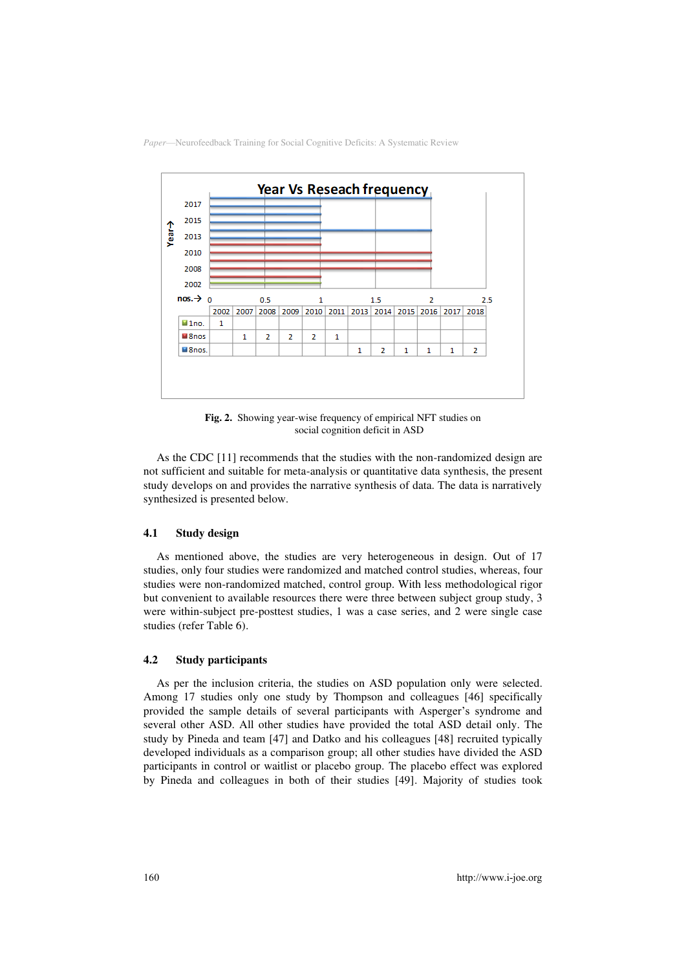

**Fig. 2.** Showing year-wise frequency of empirical NFT studies on social cognition deficit in ASD

As the CDC [11] recommends that the studies with the non-randomized design are not sufficient and suitable for meta-analysis or quantitative data synthesis, the present study develops on and provides the narrative synthesis of data. The data is narratively synthesized is presented below.

### **4.1 Study design**

As mentioned above, the studies are very heterogeneous in design. Out of 17 studies, only four studies were randomized and matched control studies, whereas, four studies were non-randomized matched, control group. With less methodological rigor but convenient to available resources there were three between subject group study, 3 were within-subject pre-posttest studies, 1 was a case series, and 2 were single case studies (refer Table 6).

### **4.2 Study participants**

As per the inclusion criteria, the studies on ASD population only were selected. Among 17 studies only one study by Thompson and colleagues [46] specifically provided the sample details of several participants with Asperger's syndrome and several other ASD. All other studies have provided the total ASD detail only. The study by Pineda and team [47] and Datko and his colleagues [48] recruited typically developed individuals as a comparison group; all other studies have divided the ASD participants in control or waitlist or placebo group. The placebo effect was explored by Pineda and colleagues in both of their studies [49]. Majority of studies took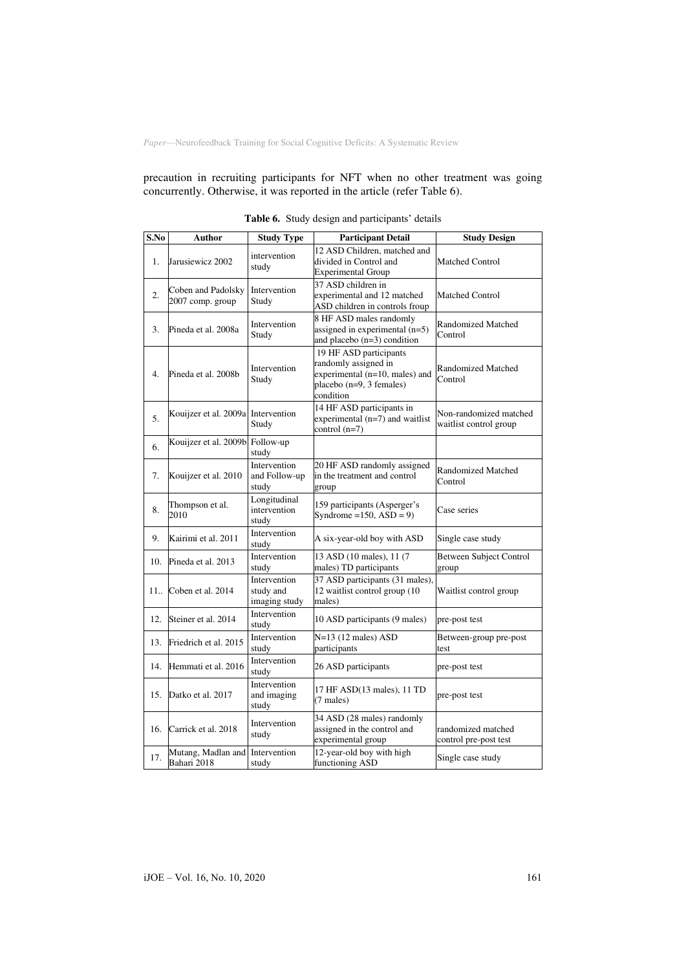precaution in recruiting participants for NFT when no other treatment was going concurrently. Otherwise, it was reported in the article (refer Table 6).

| S.No | Author                                 | <b>Study Type</b>                          | <b>Participant Detail</b>                                                                                                 | <b>Study Design</b>                              |
|------|----------------------------------------|--------------------------------------------|---------------------------------------------------------------------------------------------------------------------------|--------------------------------------------------|
| 1.   | Jarusiewicz 2002                       | intervention<br>study                      | 12 ASD Children, matched and<br>divided in Control and<br><b>Experimental Group</b>                                       | <b>Matched Control</b>                           |
| 2.   | Coben and Padolsky<br>2007 comp. group | Intervention<br>Study                      | 37 ASD children in<br>experimental and 12 matched<br>ASD children in controls froup                                       | Matched Control                                  |
| 3.   | Pineda et al. 2008a                    | Intervention<br>Study                      | 8 HF ASD males randomly<br>assigned in experimental (n=5)<br>and placebo $(n=3)$ condition                                | Randomized Matched<br>Control                    |
| 4.   | Pineda et al. 2008b                    | Intervention<br>Study                      | 19 HF ASD participants<br>randomly assigned in<br>experimental (n=10, males) and<br>placebo (n=9, 3 females)<br>condition | Randomized Matched<br>Control                    |
| 5.   | Kouijzer et al. 2009a Intervention     | Study                                      | 14 HF ASD participants in<br>experimental $(n=7)$ and waitlist<br>control $(n=7)$                                         | Non-randomized matched<br>waitlist control group |
| 6.   | Kouijzer et al. 2009b                  | Follow-up<br>study                         |                                                                                                                           |                                                  |
| 7.   | Kouijzer et al. 2010                   | Intervention<br>and Follow-up<br>study     | 20 HF ASD randomly assigned<br>in the treatment and control<br>group                                                      | Randomized Matched<br>Control                    |
| 8.   | Thompson et al.<br>2010                | Longitudinal<br>intervention<br>study      | 159 participants (Asperger's<br>Syndrome = $150$ , ASD = 9)                                                               | Case series                                      |
| 9.   | Kairimi et al. 2011                    | Intervention<br>study                      | A six-year-old boy with ASD                                                                                               | Single case study                                |
| 10.  | Pineda et al. 2013                     | Intervention<br>studv                      | 13 ASD (10 males), 11 (7<br>males) TD participants                                                                        | <b>Between Subject Control</b><br>group          |
| 11   | Coben et al. 2014                      | Intervention<br>study and<br>imaging study | 37 ASD participants (31 males),<br>12 waitlist control group (10<br>males)                                                | Waitlist control group                           |
| 12.  | Steiner et al. 2014                    | Intervention<br>study                      | 10 ASD participants (9 males)                                                                                             | pre-post test                                    |
| 13.  | Friedrich et al. 2015                  | Intervention<br>study                      | $N=13$ (12 males) ASD<br>participants                                                                                     | Between-group pre-post<br>test                   |
| 14.  | Hemmati et al. 2016                    | Intervention<br>study                      | 26 ASD participants                                                                                                       | pre-post test                                    |
| 15.  | Datko et al. 2017                      | Intervention<br>and imaging<br>study       | 17 HF ASD(13 males), 11 TD<br>(7 males)                                                                                   | pre-post test                                    |
| 16.  | Carrick et al. 2018                    | Intervention<br>study                      | 34 ASD (28 males) randomly<br>assigned in the control and<br>experimental group                                           | randomized matched<br>control pre-post test      |
| 17.  | Mutang, Madlan and<br>Bahari 2018      | Intervention<br>study                      | 12-year-old boy with high<br>functioning ASD                                                                              | Single case study                                |

|  |  |  |  | Table 6. Study design and participants' details |  |
|--|--|--|--|-------------------------------------------------|--|
|--|--|--|--|-------------------------------------------------|--|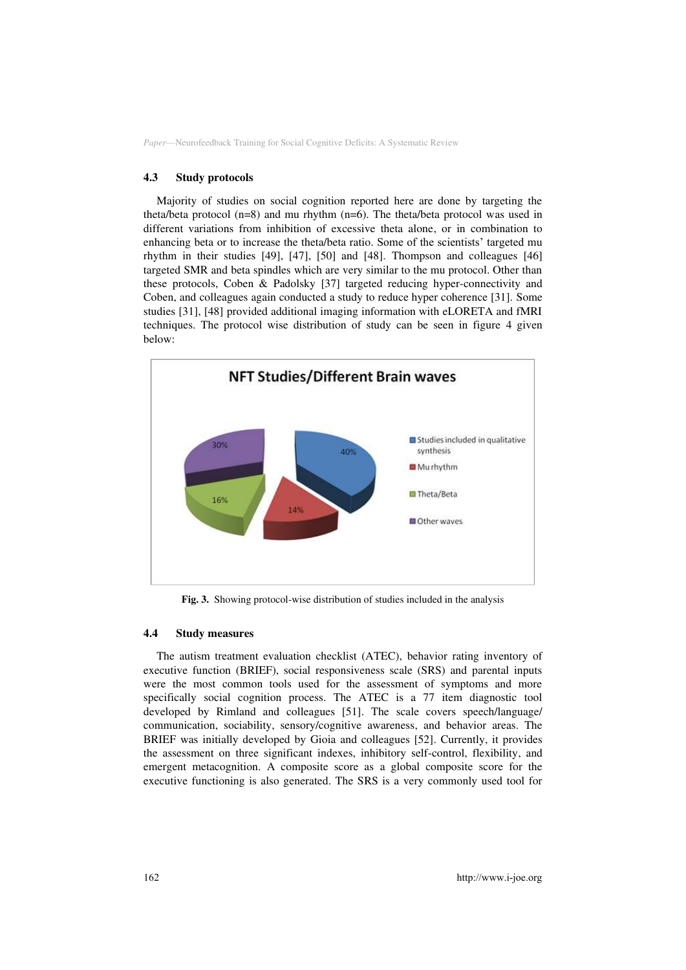#### **4.3 Study protocols**

Majority of studies on social cognition reported here are done by targeting the theta/beta protocol (n=8) and mu rhythm (n=6). The theta/beta protocol was used in different variations from inhibition of excessive theta alone, or in combination to enhancing beta or to increase the theta/beta ratio. Some of the scientists' targeted mu rhythm in their studies [49], [47], [50] and [48]. Thompson and colleagues [46] targeted SMR and beta spindles which are very similar to the mu protocol. Other than these protocols, Coben & Padolsky [37] targeted reducing hyper-connectivity and Coben, and colleagues again conducted a study to reduce hyper coherence [31]. Some studies [31], [48] provided additional imaging information with eLORETA and fMRI techniques. The protocol wise distribution of study can be seen in figure 4 given below:



**Fig. 3.** Showing protocol-wise distribution of studies included in the analysis

#### **4.4 Study measures**

The autism treatment evaluation checklist (ATEC), behavior rating inventory of executive function (BRIEF), social responsiveness scale (SRS) and parental inputs were the most common tools used for the assessment of symptoms and more specifically social cognition process. The ATEC is a 77 item diagnostic tool developed by Rimland and colleagues [51]. The scale covers speech/language/ communication, sociability, sensory/cognitive awareness, and behavior areas. The BRIEF was initially developed by Gioia and colleagues [52]. Currently, it provides the assessment on three significant indexes, inhibitory self-control, flexibility, and emergent metacognition. A composite score as a global composite score for the executive functioning is also generated. The SRS is a very commonly used tool for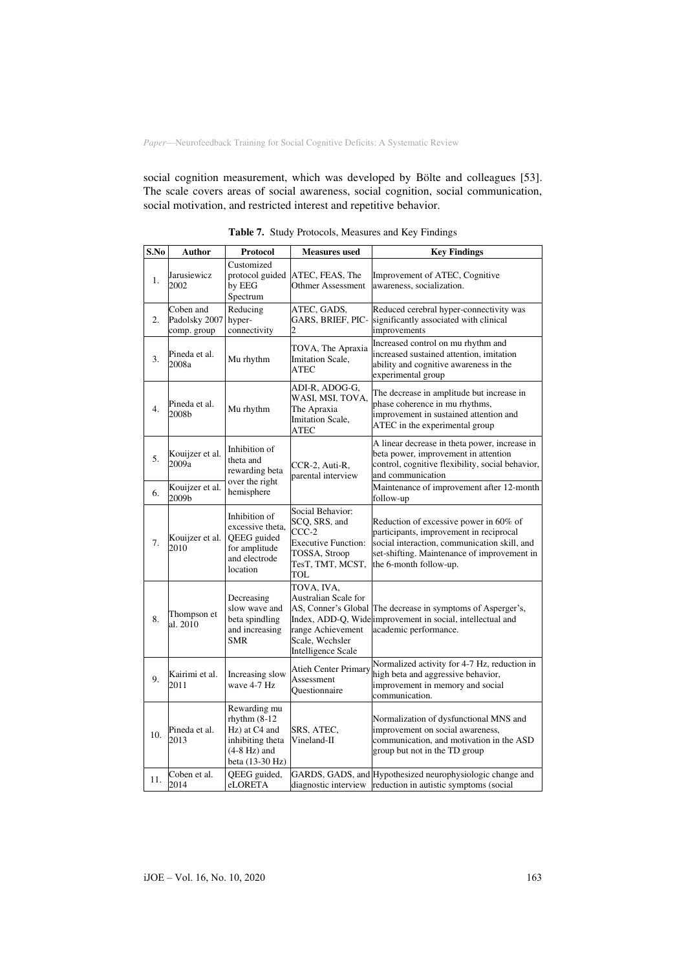social cognition measurement, which was developed by Bölte and colleagues [53]. The scale covers areas of social awareness, social cognition, social communication, social motivation, and restricted interest and repetitive behavior.

| S.No | Author                                    | Protocol                                                                                                  | <b>Measures used</b>                                                                                                           | <b>Key Findings</b>                                                                                                                                                                                        |
|------|-------------------------------------------|-----------------------------------------------------------------------------------------------------------|--------------------------------------------------------------------------------------------------------------------------------|------------------------------------------------------------------------------------------------------------------------------------------------------------------------------------------------------------|
| 1.   | Jarusiewicz<br>2002                       | Customized<br>protocol guided<br>by EEG<br>Spectrum                                                       | ATEC, FEAS, The<br>Othmer Assessment                                                                                           | Improvement of ATEC, Cognitive<br>awareness, socialization.                                                                                                                                                |
| 2.   | Coben and<br>Padolsky 2007<br>comp. group | Reducing<br>hyper-<br>connectivity                                                                        | ATEC, GADS,<br>GARS, BRIEF, PIC-                                                                                               | Reduced cerebral hyper-connectivity was<br>significantly associated with clinical<br>improvements                                                                                                          |
| 3.   | Pineda et al.<br>2008a                    | Mu rhythm                                                                                                 | TOVA, The Apraxia<br>Imitation Scale,<br><b>ATEC</b>                                                                           | Increased control on mu rhythm and<br>increased sustained attention, imitation<br>ability and cognitive awareness in the<br>experimental group                                                             |
| 4.   | Pineda et al.<br>2008b                    | Mu rhythm                                                                                                 | ADI-R, ADOG-G,<br>WASI, MSI, TOVA,<br>The Apraxia<br><b>Imitation Scale,</b><br><b>ATEC</b>                                    | The decrease in amplitude but increase in<br>phase coherence in mu rhythms,<br>improvement in sustained attention and<br>ATEC in the experimental group                                                    |
| 5.   | Kouijzer et al.<br>2009a                  | Inhibition of<br>theta and<br>rewarding beta                                                              | CCR-2, Auti-R,<br>parental interview                                                                                           | A linear decrease in theta power, increase in<br>beta power, improvement in attention<br>control, cognitive flexibility, social behavior,<br>and communication                                             |
| 6.   | Kouijzer et al.<br>2009b                  | over the right<br>hemisphere                                                                              |                                                                                                                                | Maintenance of improvement after 12-month<br>follow-up                                                                                                                                                     |
| 7.   | Kouijzer et al.<br>2010                   | Inhibition of<br>excessive theta,<br>QEEG guided<br>for amplitude<br>and electrode<br>location            | Social Behavior:<br>SCQ, SRS, and<br>$CCC-2$<br><b>Executive Function:</b><br>TOSSA, Stroop<br>TesT, TMT, MCST,<br>TOL         | Reduction of excessive power in 60% of<br>participants, improvement in reciprocal<br>social interaction, communication skill, and<br>set-shifting. Maintenance of improvement in<br>the 6-month follow-up. |
| 8.   | Thompson et<br>al. 2010                   | Decreasing<br>slow wave and<br>beta spindling<br>and increasing<br><b>SMR</b>                             | TOVA, IVA,<br>Australian Scale for<br>AS, Conner's Global<br>range Achievement<br>Scale, Wechsler<br><b>Intelligence Scale</b> | The decrease in symptoms of Asperger's,<br>Index, ADD-Q, Widelimprovement in social, intellectual and<br>academic performance.                                                                             |
| 9.   | Kairimi et al.<br>2011                    | Increasing slow<br>wave 4-7 Hz                                                                            | <b>Atieh Center Primary</b><br>Assessment<br>Questionnaire                                                                     | Normalized activity for 4-7 Hz, reduction in<br>high beta and aggressive behavior,<br>improvement in memory and social<br>communication.                                                                   |
| 10.  | Pineda et al.<br>2013                     | Rewarding mu<br>rhythm $(8-12)$<br>Hz) at C4 and<br>inhibiting theta<br>$(4-8 Hz)$ and<br>beta (13-30 Hz) | SRS, ATEC,<br>Vineland-II                                                                                                      | Normalization of dysfunctional MNS and<br>improvement on social awareness,<br>communication, and motivation in the ASD<br>group but not in the TD group                                                    |
| 11.  | Coben et al.<br>2014                      | QEEG guided,<br>eLORETA                                                                                   | diagnostic interview                                                                                                           | GARDS, GADS, and Hypothesized neurophysiologic change and<br>reduction in autistic symptoms (social                                                                                                        |

**Table 7.** Study Protocols, Measures and Key Findings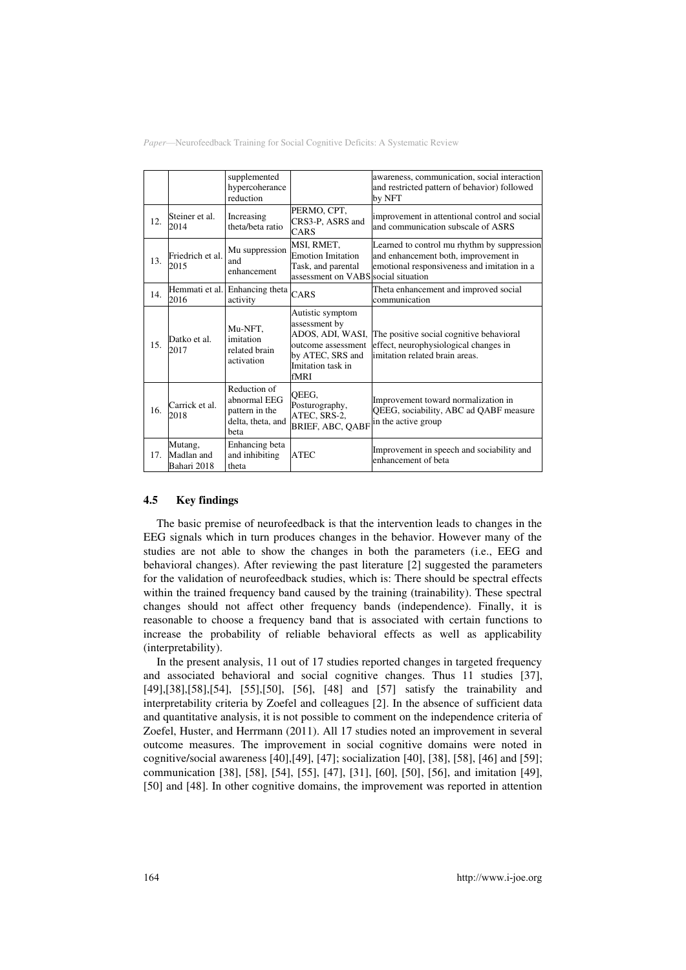|     |                                      | supplemented<br>hypercoherance<br>reduction                                 |                                                                                                                              | awareness, communication, social interaction<br>and restricted pattern of behavior) followed<br>by NFT                             |
|-----|--------------------------------------|-----------------------------------------------------------------------------|------------------------------------------------------------------------------------------------------------------------------|------------------------------------------------------------------------------------------------------------------------------------|
| 12. | Steiner et al.<br>2014               | Increasing<br>theta/beta ratio                                              | PERMO, CPT,<br>CRS3-P, ASRS and<br>CARS                                                                                      | improvement in attentional control and social<br>and communication subscale of ASRS                                                |
| 13. | Friedrich et al.<br>2015             | Mu suppression<br>and<br>enhancement                                        | MSI, RMET,<br><b>Emotion Imitation</b><br>Task, and parental<br>assessment on VABS social situation                          | Learned to control mu rhythm by suppression<br>and enhancement both, improvement in<br>emotional responsiveness and imitation in a |
| 14. | 2016                                 | Hemmati et al. Enhancing theta<br>activity                                  | CARS                                                                                                                         | Theta enhancement and improved social<br>communication                                                                             |
| 15. | Datko et al.<br>2017                 | Mu-NFT,<br>imitation<br>related brain<br>activation                         | Autistic symptom<br>assessment by<br>ADOS, ADI, WASI,<br>outcome assessment<br>by ATEC, SRS and<br>Imitation task in<br>fMRI | The positive social cognitive behavioral<br>effect, neurophysiological changes in<br>imitation related brain areas.                |
| 16. | Carrick et al.<br>2018               | Reduction of<br>abnormal EEG<br>pattern in the<br>delta, theta, and<br>beta | QEEG,<br>Posturography,<br>ATEC, SRS-2,<br><b>BRIEF, ABC, OABF</b>                                                           | Improvement toward normalization in<br>QEEG, sociability, ABC ad QABF measure<br>in the active group                               |
| 17. | Mutang,<br>Madlan and<br>Bahari 2018 | Enhancing beta<br>and inhibiting<br>theta                                   | <b>ATEC</b>                                                                                                                  | Improvement in speech and sociability and<br>enhancement of beta                                                                   |

### **4.5 Key findings**

The basic premise of neurofeedback is that the intervention leads to changes in the EEG signals which in turn produces changes in the behavior. However many of the studies are not able to show the changes in both the parameters (i.e., EEG and behavioral changes). After reviewing the past literature [2] suggested the parameters for the validation of neurofeedback studies, which is: There should be spectral effects within the trained frequency band caused by the training (trainability). These spectral changes should not affect other frequency bands (independence). Finally, it is reasonable to choose a frequency band that is associated with certain functions to increase the probability of reliable behavioral effects as well as applicability (interpretability).

In the present analysis, 11 out of 17 studies reported changes in targeted frequency and associated behavioral and social cognitive changes. Thus 11 studies [37], [49],[38],[58],[54], [55],[50], [56], [48] and [57] satisfy the trainability and interpretability criteria by Zoefel and colleagues [2]. In the absence of sufficient data and quantitative analysis, it is not possible to comment on the independence criteria of Zoefel, Huster, and Herrmann (2011). All 17 studies noted an improvement in several outcome measures. The improvement in social cognitive domains were noted in cognitive/social awareness [40],[49], [47]; socialization [40], [38], [58], [46] and [59]; communication [38], [58], [54], [55], [47], [31], [60], [50], [56], and imitation [49], [50] and [48]. In other cognitive domains, the improvement was reported in attention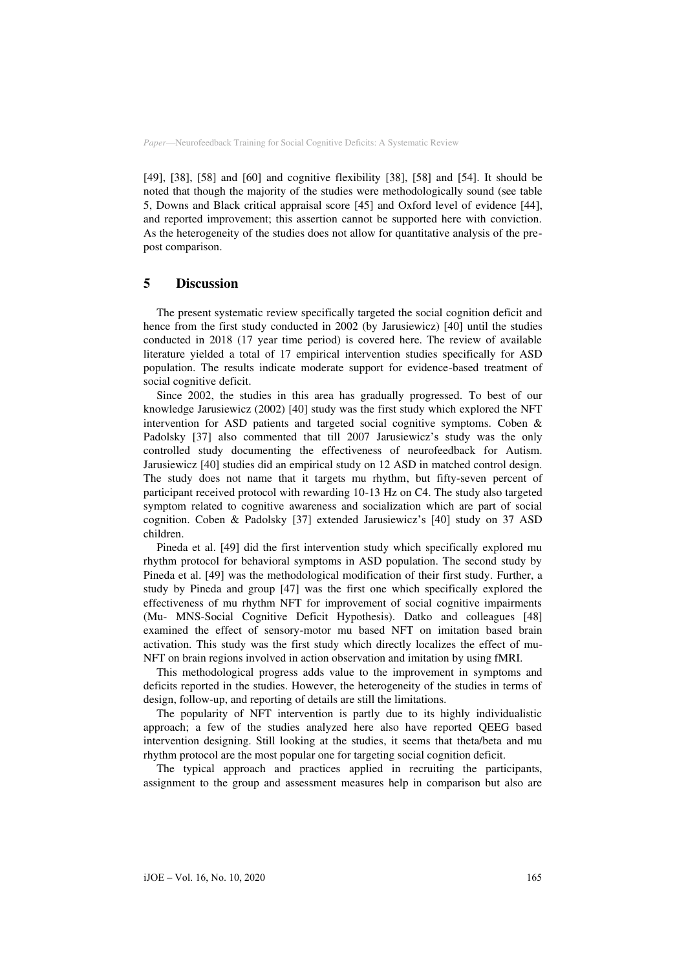[49], [38], [58] and [60] and cognitive flexibility [38], [58] and [54]. It should be noted that though the majority of the studies were methodologically sound (see table 5, Downs and Black critical appraisal score [45] and Oxford level of evidence [44], and reported improvement; this assertion cannot be supported here with conviction. As the heterogeneity of the studies does not allow for quantitative analysis of the prepost comparison.

## **5 Discussion**

The present systematic review specifically targeted the social cognition deficit and hence from the first study conducted in 2002 (by Jarusiewicz) [40] until the studies conducted in 2018 (17 year time period) is covered here. The review of available literature yielded a total of 17 empirical intervention studies specifically for ASD population. The results indicate moderate support for evidence-based treatment of social cognitive deficit.

Since 2002, the studies in this area has gradually progressed. To best of our knowledge Jarusiewicz (2002) [40] study was the first study which explored the NFT intervention for ASD patients and targeted social cognitive symptoms. Coben & Padolsky [37] also commented that till 2007 Jarusiewicz's study was the only controlled study documenting the effectiveness of neurofeedback for Autism. Jarusiewicz [40] studies did an empirical study on 12 ASD in matched control design. The study does not name that it targets mu rhythm, but fifty-seven percent of participant received protocol with rewarding 10-13 Hz on C4. The study also targeted symptom related to cognitive awareness and socialization which are part of social cognition. Coben & Padolsky [37] extended Jarusiewicz's [40] study on 37 ASD children.

Pineda et al. [49] did the first intervention study which specifically explored mu rhythm protocol for behavioral symptoms in ASD population. The second study by Pineda et al. [49] was the methodological modification of their first study. Further, a study by Pineda and group [47] was the first one which specifically explored the effectiveness of mu rhythm NFT for improvement of social cognitive impairments (Mu- MNS-Social Cognitive Deficit Hypothesis). Datko and colleagues [48] examined the effect of sensory-motor mu based NFT on imitation based brain activation. This study was the first study which directly localizes the effect of mu-NFT on brain regions involved in action observation and imitation by using fMRI.

This methodological progress adds value to the improvement in symptoms and deficits reported in the studies. However, the heterogeneity of the studies in terms of design, follow-up, and reporting of details are still the limitations.

The popularity of NFT intervention is partly due to its highly individualistic approach; a few of the studies analyzed here also have reported QEEG based intervention designing. Still looking at the studies, it seems that theta/beta and mu rhythm protocol are the most popular one for targeting social cognition deficit.

The typical approach and practices applied in recruiting the participants, assignment to the group and assessment measures help in comparison but also are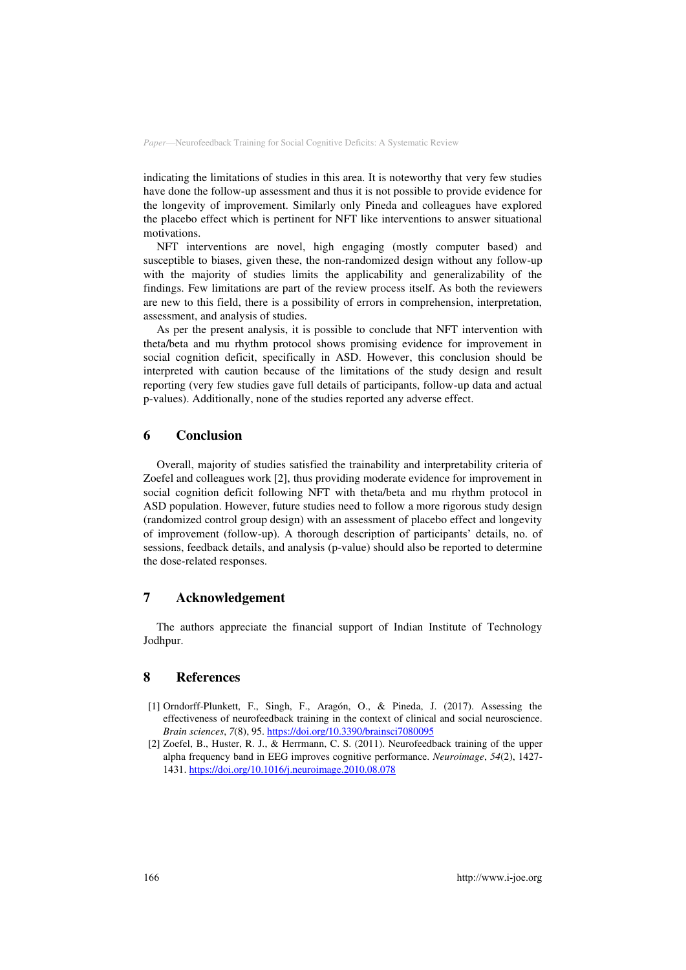indicating the limitations of studies in this area. It is noteworthy that very few studies have done the follow-up assessment and thus it is not possible to provide evidence for the longevity of improvement. Similarly only Pineda and colleagues have explored the placebo effect which is pertinent for NFT like interventions to answer situational motivations.

NFT interventions are novel, high engaging (mostly computer based) and susceptible to biases, given these, the non-randomized design without any follow-up with the majority of studies limits the applicability and generalizability of the findings. Few limitations are part of the review process itself. As both the reviewers are new to this field, there is a possibility of errors in comprehension, interpretation, assessment, and analysis of studies.

As per the present analysis, it is possible to conclude that NFT intervention with theta/beta and mu rhythm protocol shows promising evidence for improvement in social cognition deficit, specifically in ASD. However, this conclusion should be interpreted with caution because of the limitations of the study design and result reporting (very few studies gave full details of participants, follow-up data and actual p-values). Additionally, none of the studies reported any adverse effect.

### **6 Conclusion**

Overall, majority of studies satisfied the trainability and interpretability criteria of Zoefel and colleagues work [2], thus providing moderate evidence for improvement in social cognition deficit following NFT with theta/beta and mu rhythm protocol in ASD population. However, future studies need to follow a more rigorous study design (randomized control group design) with an assessment of placebo effect and longevity of improvement (follow-up). A thorough description of participants' details, no. of sessions, feedback details, and analysis (p-value) should also be reported to determine the dose-related responses.

## **7 Acknowledgement**

The authors appreciate the financial support of Indian Institute of Technology Jodhpur.

### **8 References**

- [1] Orndorff-Plunkett, F., Singh, F., Aragón, O., & Pineda, J. (2017). Assessing the effectiveness of neurofeedback training in the context of clinical and social neuroscience. *Brain sciences*, *7*(8), 95.<https://doi.org/10.3390/brainsci7080095>
- [2] Zoefel, B., Huster, R. J., & Herrmann, C. S. (2011). Neurofeedback training of the upper alpha frequency band in EEG improves cognitive performance. *Neuroimage*, *54*(2), 1427- 1431.<https://doi.org/10.1016/j.neuroimage.2010.08.078>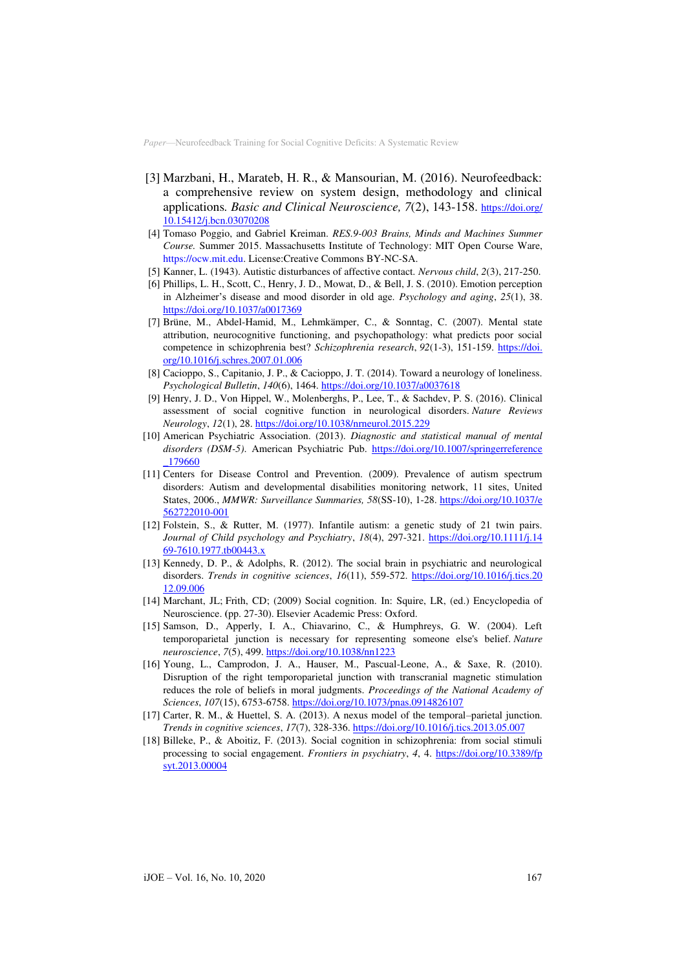- [3] Marzbani, H., Marateb, H. R., & Mansourian, M. (2016). Neurofeedback: a comprehensive review on system design, methodology and clinical applications*. Basic and Clinical Neuroscience, 7*(2), 143-158. [https://doi.org/](https://doi.org/10.15412/j.bcn.03070208)  [10.15412/j.bcn.03070208](https://doi.org/10.15412/j.bcn.03070208)
- [4] Tomaso Poggio, and Gabriel Kreiman. *RES.9-003 Brains, Minds and Machines Summer Course.* Summer 2015. Massachusetts Institute of Technology: MIT Open Course Ware, [https://ocw.mit.edu.](https://ocw.mit.edu/resources/res-9-003-brains-minds-and-machines-summer-course-summer-2015) License[:Creative Commons BY-NC-SA.](https://creativecommons.org/licenses/by-nc-sa/4.0/)
- [5] Kanner, L. (1943). Autistic disturbances of affective contact. *Nervous child*, *2*(3), 217-250.
- [6] Phillips, L. H., Scott, C., Henry, J. D., Mowat, D., & Bell, J. S. (2010). Emotion perception in Alzheimer's disease and mood disorder in old age. *Psychology and aging*, *25*(1), 38. <https://doi.org/10.1037/a0017369>
- [7] Brüne, M., Abdel-Hamid, M., Lehmkämper, C., & Sonntag, C. (2007). Mental state attribution, neurocognitive functioning, and psychopathology: what predicts poor social competence in schizophrenia best? *Schizophrenia research*, *92*(1-3), 151-159. [https://doi.](https://doi.org/10.1016/j.schres.2007.01.006)  [org/10.1016/j.schres.2007.01.006](https://doi.org/10.1016/j.schres.2007.01.006)
- [8] Cacioppo, S., Capitanio, J. P., & Cacioppo, J. T. (2014). Toward a neurology of loneliness. *Psychological Bulletin*, *140*(6), 1464.<https://doi.org/10.1037/a0037618>
- [9] Henry, J. D., Von Hippel, W., Molenberghs, P., Lee, T., & Sachdev, P. S. (2016). Clinical assessment of social cognitive function in neurological disorders. *Nature Reviews Neurology*, *12*(1), 28[. https://doi.org/10.1038/nrneurol.2015.229](https://doi.org/10.1038/nrneurol.2015.229)
- [10] American Psychiatric Association. (2013). *Diagnostic and statistical manual of mental disorders (DSM-5)*. American Psychiatric Pub. [https://doi.org/10.1007/springerreference](https://doi.org/10.1007/springerreference_179660)  [\\_179660](https://doi.org/10.1007/springerreference_179660)
- [11] Centers for Disease Control and Prevention. (2009). Prevalence of autism spectrum disorders: Autism and developmental disabilities monitoring network, 11 sites, United States, 2006., *MMWR: Surveillance Summaries, 58*(SS-10), 1-28. [https://doi.org/10.1037/e](https://doi.org/10.1037/e562722010-001)  [562722010-001](https://doi.org/10.1037/e562722010-001)
- [12] Folstein, S., & Rutter, M. (1977). Infantile autism: a genetic study of 21 twin pairs. Journal of Child psychology and Psychiatry, 18(4), 297-321. https://doi.org/10.1111/j.14 [69-7610.1977.tb00443.x](https://doi.org/10.1111/j.1469-7610.1977.tb00443.x)
- [13] Kennedy, D. P., & Adolphs, R. (2012). The social brain in psychiatric and neurological disorders. *Trends in cognitive sciences*, *16*(11), 559-572. [https://doi.org/10.1016/j.tics.20](https://doi.org/10.1016/j.tics.2012.09.006)  [12.09.006](https://doi.org/10.1016/j.tics.2012.09.006)
- [14] Marchant, JL; Frith, CD; (2009) Social cognition. In: Squire, LR, (ed.) Encyclopedia of Neuroscience. **(**pp. 27-30). Elsevier Academic Press: Oxford.
- [15] Samson, D., Apperly, I. A., Chiavarino, C., & Humphreys, G. W. (2004). Left temporoparietal junction is necessary for representing someone else's belief. *Nature neuroscience*, *7*(5), 499.<https://doi.org/10.1038/nn1223>
- [16] Young, L., Camprodon, J. A., Hauser, M., Pascual-Leone, A., & Saxe, R. (2010). Disruption of the right temporoparietal junction with transcranial magnetic stimulation reduces the role of beliefs in moral judgments. *Proceedings of the National Academy of Sciences*, *107*(15), 6753-6758[. https://doi.org/10.1073/pnas.0914826107](https://doi.org/10.1073/pnas.0914826107)
- [17] Carter, R. M., & Huettel, S. A. (2013). A nexus model of the temporal–parietal junction. *Trends in cognitive sciences*, *17*(7), 328-336[. https://doi.org/10.1016/j.tics.2013.05.007](https://doi.org/10.1016/j.tics.2013.05.007)
- [18] Billeke, P., & Aboitiz, F. (2013). Social cognition in schizophrenia: from social stimuli processing to social engagement. *Frontiers in psychiatry*, *4*, 4. [https://doi.org/10.3389/fp](https://doi.org/10.3389/fpsyt.2013.00004)  [syt.2013.00004](https://doi.org/10.3389/fpsyt.2013.00004)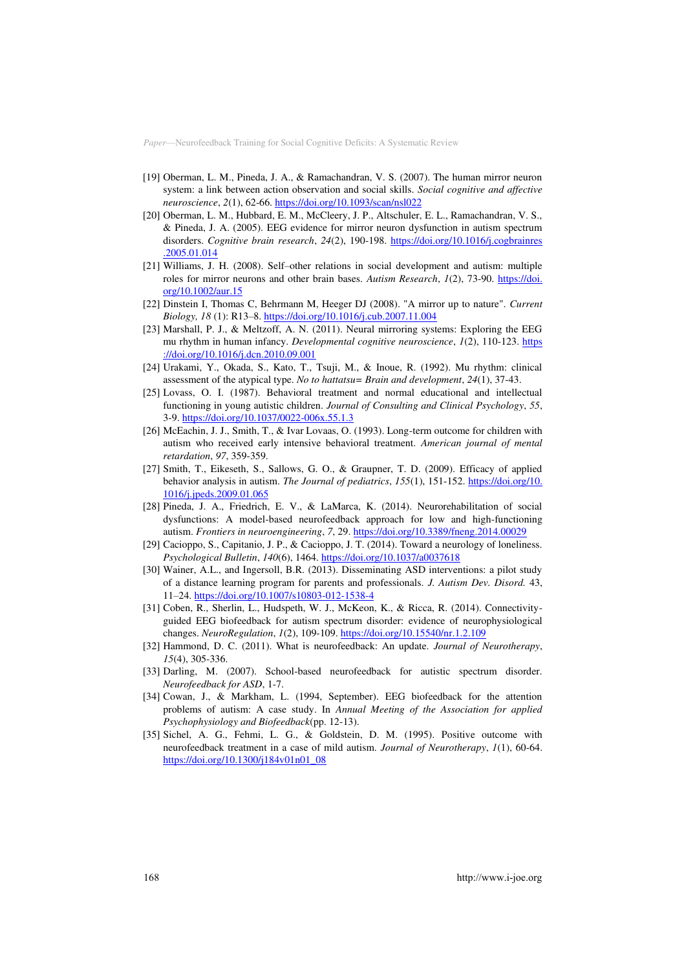- [19] Oberman, L. M., Pineda, J. A., & Ramachandran, V. S. (2007). The human mirror neuron system: a link between action observation and social skills. *Social cognitive and affective neuroscience*, *2*(1), 62-66[. https://doi.org/10.1093/scan/nsl022](https://doi.org/10.1093/scan/nsl022)
- [20] Oberman, L. M., Hubbard, E. M., McCleery, J. P., Altschuler, E. L., Ramachandran, V. S., & Pineda, J. A. (2005). EEG evidence for mirror neuron dysfunction in autism spectrum disorders. *Cognitive brain research*, *24*(2), 190-198. [https://doi.org/10.1016/j.cogbrainres](https://doi.org/10.1016/j.cogbrainres.2005.01.014)  [.2005.01.014](https://doi.org/10.1016/j.cogbrainres.2005.01.014)
- [21] Williams, J. H. (2008). Self–other relations in social development and autism: multiple roles for mirror neurons and other brain bases. *Autism Research*, *1*(2), 73-90. [https://doi.](https://doi.org/10.1002/aur.15)  [org/10.1002/aur.15](https://doi.org/10.1002/aur.15)
- [22] Dinstein I, Thomas C, Behrmann M, Heeger DJ (2008). "A mirror up to nature". *Current Biology, 18* (1): R13–8.<https://doi.org/10.1016/j.cub.2007.11.004>
- [23] Marshall, P. J., & Meltzoff, A. N. (2011). Neural mirroring systems: Exploring the EEG mu rhythm in human infancy. *Developmental cognitive neuroscience*, *1*(2), 110-123. [https](https://doi.org/10.1016/j.dcn.2010.09.001)  [://doi.org/10.1016/j.dcn.2010.09.001](https://doi.org/10.1016/j.dcn.2010.09.001)
- [24] Urakami, Y., Okada, S., Kato, T., Tsuji, M., & Inoue, R. (1992). Mu rhythm: clinical assessment of the atypical type. *No to hattatsu= Brain and development*, *24*(1), 37-43.
- [25] Lovass, O. I. (1987). Behavioral treatment and normal educational and intellectual functioning in young autistic children. *Journal of Consulting and Clinical Psychology*, *55*, 3-9. <https://doi.org/10.1037/0022-006x.55.1.3>
- [26] McEachin, J. J., Smith, T., & Ivar Lovaas, O. (1993). Long-term outcome for children with autism who received early intensive behavioral treatment. *American journal of mental retardation*, *97*, 359-359.
- [27] Smith, T., Eikeseth, S., Sallows, G. O., & Graupner, T. D. (2009). Efficacy of applied behavior analysis in autism. *The Journal of pediatrics*, *155*(1), 151-152. [https://doi.org/10.](https://doi.org/10.1016/j.jpeds.2009.01.065)  [1016/j.jpeds.2009.01.065](https://doi.org/10.1016/j.jpeds.2009.01.065)
- [28] Pineda, J. A., Friedrich, E. V., & LaMarca, K. (2014). Neurorehabilitation of social dysfunctions: A model-based neurofeedback approach for low and high-functioning autism. *Frontiers in neuroengineering*, *7*, 29[. https://doi.org/10.3389/fneng.2014.00029](https://doi.org/10.3389/fneng.2014.00029)
- [29] Cacioppo, S., Capitanio, J. P., & Cacioppo, J. T. (2014). Toward a neurology of loneliness. *Psychological Bulletin*, *140*(6), 1464.<https://doi.org/10.1037/a0037618>
- [30] Wainer, A.L., and Ingersoll, B.R. (2013). Disseminating ASD interventions: a pilot study of a distance learning program for parents and professionals. *J. Autism Dev. Disord.* 43, 11–24[. https://doi.org/10.1007/s10803-012-1538-4](https://doi.org/10.1007/s10803-012-1538-4)
- [31] Coben, R., Sherlin, L., Hudspeth, W. J., McKeon, K., & Ricca, R. (2014). Connectivityguided EEG biofeedback for autism spectrum disorder: evidence of neurophysiological changes. *NeuroRegulation*, *1*(2), 109-109[. https://doi.org/10.15540/nr.1.2.109](https://doi.org/10.15540/nr.1.2.109)
- [32] Hammond, D. C. (2011). What is neurofeedback: An update. *Journal of Neurotherapy*, *15*(4), 305-336.
- [33] Darling, M. (2007). School-based neurofeedback for autistic spectrum disorder. *Neurofeedback for ASD*, 1-7.
- [34] Cowan, J., & Markham, L. (1994, September). EEG biofeedback for the attention problems of autism: A case study. In *Annual Meeting of the Association for applied Psychophysiology and Biofeedback*(pp. 12-13).
- [35] Sichel, A. G., Fehmi, L. G., & Goldstein, D. M. (1995). Positive outcome with neurofeedback treatment in a case of mild autism. *Journal of Neurotherapy*, *1*(1), 60-64. [https://doi.org/10.1300/j184v01n01\\_08](https://doi.org/10.1300/j184v01n01_08)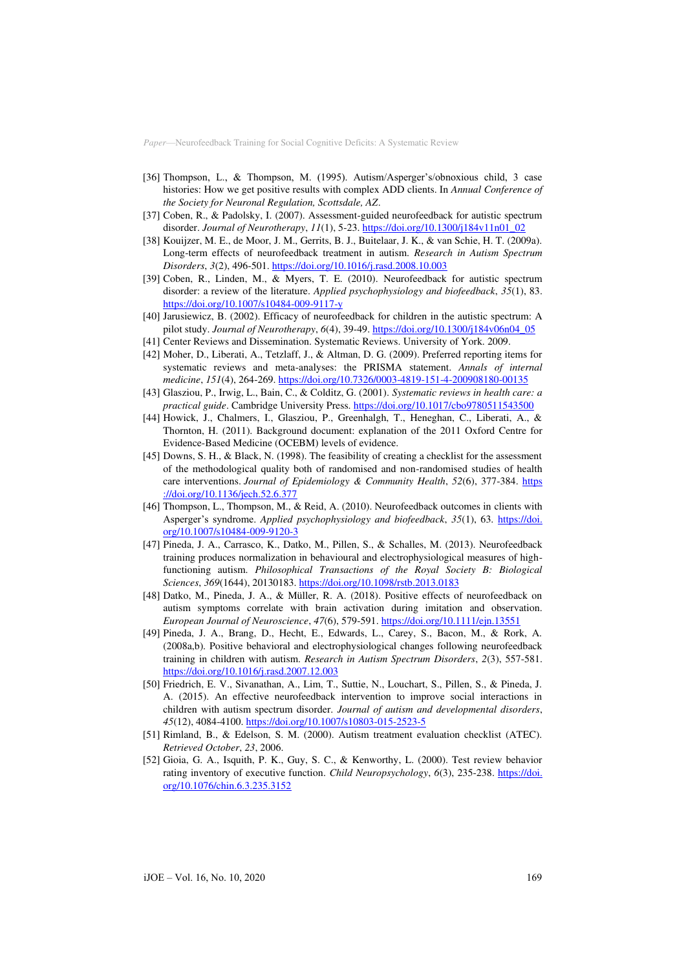- [36] Thompson, L., & Thompson, M. (1995). Autism/Asperger's/obnoxious child, 3 case histories: How we get positive results with complex ADD clients. In *Annual Conference of the Society for Neuronal Regulation, Scottsdale, AZ*.
- [37] Coben, R., & Padolsky, I. (2007). Assessment-guided neurofeedback for autistic spectrum disorder. *Journal of Neurotherapy*, *11*(1), 5-23[. https://doi.org/10.1300/j184v11n01\\_02](https://doi.org/10.1300/j184v11n01_02)
- [38] Kouijzer, M. E., de Moor, J. M., Gerrits, B. J., Buitelaar, J. K., & van Schie, H. T. (2009a). Long-term effects of neurofeedback treatment in autism. *Research in Autism Spectrum Disorders*, *3*(2), 496-501[. https://doi.org/10.1016/j.rasd.2008.10.003](https://doi.org/10.1016/j.rasd.2008.10.003)
- [39] Coben, R., Linden, M., & Myers, T. E. (2010). Neurofeedback for autistic spectrum disorder: a review of the literature. *Applied psychophysiology and biofeedback*, *35*(1), 83. <https://doi.org/10.1007/s10484-009-9117-y>
- [40] Jarusiewicz, B. (2002). Efficacy of neurofeedback for children in the autistic spectrum: A pilot study. *Journal of Neurotherapy*, *6*(4), 39-49[. https://doi.org/10.1300/j184v06n04\\_05](https://doi.org/10.1300/j184v06n04_05)
- [41] Center Reviews and Dissemination. Systematic Reviews. University of York. 2009.
- [42] Moher, D., Liberati, A., Tetzlaff, J., & Altman, D. G. (2009). Preferred reporting items for systematic reviews and meta-analyses: the PRISMA statement. *Annals of internal medicine*, *151*(4), 264-269[. https://doi.org/10.7326/0003-4819-151-4-200908180-00135](https://doi.org/10.7326/0003-4819-151-4-200908180-00135)
- [43] Glasziou, P., Irwig, L., Bain, C., & Colditz, G. (2001). *Systematic reviews in health care: a practical guide*. Cambridge University Press.<https://doi.org/10.1017/cbo9780511543500>
- [44] Howick, J., Chalmers, I., Glasziou, P., Greenhalgh, T., Heneghan, C., Liberati, A., & Thornton, H. (2011). Background document: explanation of the 2011 Oxford Centre for Evidence-Based Medicine (OCEBM) levels of evidence.
- [45] Downs, S. H., & Black, N. (1998). The feasibility of creating a checklist for the assessment of the methodological quality both of randomised and non-randomised studies of health care interventions. *Journal of Epidemiology & Community Health*, *52*(6), 377-384. [https](https://doi.org/10.1136/jech.52.6.377)  [://doi.org/10.1136/jech.52.6.377](https://doi.org/10.1136/jech.52.6.377)
- [46] Thompson, L., Thompson, M., & Reid, A. (2010). Neurofeedback outcomes in clients with Asperger's syndrome. *Applied psychophysiology and biofeedback*, *35*(1), 63. [https://doi.](https://doi.org/10.1007/s10484-009-9120-3)  [org/10.1007/s10484-009-9120-3](https://doi.org/10.1007/s10484-009-9120-3)
- [47] Pineda, J. A., Carrasco, K., Datko, M., Pillen, S., & Schalles, M. (2013). Neurofeedback training produces normalization in behavioural and electrophysiological measures of highfunctioning autism. *Philosophical Transactions of the Royal Society B: Biological Sciences*, *369*(1644), 20130183[. https://doi.org/10.1098/rstb.2013.0183](https://doi.org/10.1098/rstb.2013.0183)
- [48] Datko, M., Pineda, J. A., & Müller, R. A. (2018). Positive effects of neurofeedback on autism symptoms correlate with brain activation during imitation and observation. *European Journal of Neuroscience*, *47*(6), 579-591.<https://doi.org/10.1111/ejn.13551>
- [49] Pineda, J. A., Brang, D., Hecht, E., Edwards, L., Carey, S., Bacon, M., & Rork, A. (2008a,b). Positive behavioral and electrophysiological changes following neurofeedback training in children with autism. *Research in Autism Spectrum Disorders*, *2*(3), 557-581. <https://doi.org/10.1016/j.rasd.2007.12.003>
- [50] Friedrich, E. V., Sivanathan, A., Lim, T., Suttie, N., Louchart, S., Pillen, S., & Pineda, J. A. (2015). An effective neurofeedback intervention to improve social interactions in children with autism spectrum disorder. *Journal of autism and developmental disorders*, *45*(12), 4084-4100[. https://doi.org/10.1007/s10803-015-2523-5](https://doi.org/10.1007/s10803-015-2523-5)
- [51] Rimland, B., & Edelson, S. M. (2000). Autism treatment evaluation checklist (ATEC). *Retrieved October*, *23*, 2006.
- [52] Gioia, G. A., Isquith, P. K., Guy, S. C., & Kenworthy, L. (2000). Test review behavior rating inventory of executive function. *Child Neuropsychology*, *6*(3), 235-238. [https://doi.](https://doi.org/10.1076/chin.6.3.235.3152)  [org/10.1076/chin.6.3.235.3152](https://doi.org/10.1076/chin.6.3.235.3152)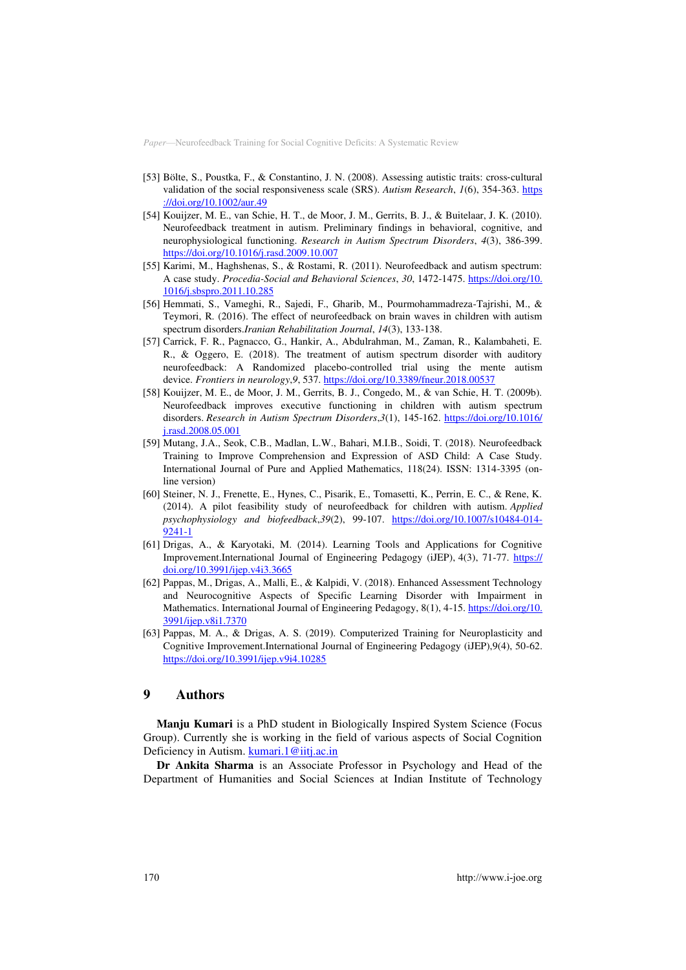- [53] Bölte, S., Poustka, F., & Constantino, J. N. (2008). Assessing autistic traits: cross-cultural validation of the social responsiveness scale (SRS). *Autism Research*, *1*(6), 354-363. [https](https://doi.org/10.1002/aur.49)  [://doi.org/10.1002/aur.49](https://doi.org/10.1002/aur.49)
- [54] Kouijzer, M. E., van Schie, H. T., de Moor, J. M., Gerrits, B. J., & Buitelaar, J. K. (2010). Neurofeedback treatment in autism. Preliminary findings in behavioral, cognitive, and neurophysiological functioning. *Research in Autism Spectrum Disorders*, *4*(3), 386-399. <https://doi.org/10.1016/j.rasd.2009.10.007>
- [55] Karimi, M., Haghshenas, S., & Rostami, R. (2011). Neurofeedback and autism spectrum: A case study. *Procedia-Social and Behavioral Sciences*, *30*, 1472-1475. [https://doi.org/10.](https://doi.org/10.1016/j.sbspro.2011.10.285)  [1016/j.sbspro.2011.10.285](https://doi.org/10.1016/j.sbspro.2011.10.285)
- [56] Hemmati, S., Vameghi, R., Sajedi, F., Gharib, M., Pourmohammadreza-Tajrishi, M., & Teymori, R. (2016). The effect of neurofeedback on brain waves in children with autism spectrum disorders.*Iranian Rehabilitation Journal*, *14*(3), 133-138.
- [57] Carrick, F. R., Pagnacco, G., Hankir, A., Abdulrahman, M., Zaman, R., Kalambaheti, E. R., & Oggero, E. (2018). The treatment of autism spectrum disorder with auditory neurofeedback: A Randomized placebo-controlled trial using the mente autism device. *Frontiers in neurology*,*9*, 537.<https://doi.org/10.3389/fneur.2018.00537>
- [58] Kouijzer, M. E., de Moor, J. M., Gerrits, B. J., Congedo, M., & van Schie, H. T. (2009b). Neurofeedback improves executive functioning in children with autism spectrum disorders. *Research in Autism Spectrum Disorders*,*3*(1), 145-162. [https://doi.org/10.1016/](https://doi.org/10.1016/j.rasd.2008.05.001)  [j.rasd.2008.05.001](https://doi.org/10.1016/j.rasd.2008.05.001)
- [59] Mutang, J.A., Seok, C.B., Madlan, L.W., Bahari, M.I.B., Soidi, T. (2018). Neurofeedback Training to Improve Comprehension and Expression of ASD Child: A Case Study. International Journal of Pure and Applied Mathematics, 118(24). ISSN: 1314-3395 (online version)
- [60] Steiner, N. J., Frenette, E., Hynes, C., Pisarik, E., Tomasetti, K., Perrin, E. C., & Rene, K. (2014). A pilot feasibility study of neurofeedback for children with autism. *Applied psychophysiology and biofeedback*,*39*(2), 99-107. [https://doi.org/10.1007/s10484-014-](https://doi.org/10.1007/s10484-014-9241-1) [9241-1](https://doi.org/10.1007/s10484-014-9241-1)
- [61] Drigas, A., & Karyotaki, M. (2014). Learning Tools and Applications for Cognitive Improvement.International Journal of Engineering Pedagogy (iJEP), 4(3), 71-77. [https://](https://doi.org/10.3991/ijep.v4i3.3665)  [doi.org/10.3991/ijep.v4i3.3665](https://doi.org/10.3991/ijep.v4i3.3665)
- [62] Pappas, M., Drigas, A., Malli, E., & Kalpidi, V. (2018). Enhanced Assessment Technology and Neurocognitive Aspects of Specific Learning Disorder with Impairment in Mathematics. International Journal of Engineering Pedagogy, 8(1), 4-15[. https://doi.org/10.](https://doi.org/10.3991/ijep.v8i1.7370)  [3991/ijep.v8i1.7370](https://doi.org/10.3991/ijep.v8i1.7370)
- [63] Pappas, M. A., & Drigas, A. S. (2019). Computerized Training for Neuroplasticity and Cognitive Improvement.International Journal of Engineering Pedagogy (iJEP),9(4), 50-62. <https://doi.org/10.3991/ijep.v9i4.10285>

## **9 Authors**

**Manju Kumari** is a PhD student in Biologically Inspired System Science (Focus Group). Currently she is working in the field of various aspects of Social Cognition Deficiency in Autism[. kumari.1@iitj.ac.in](mailto:kumari.1@iitj.ac.in)

**Dr Ankita Sharma** is an Associate Professor in Psychology and Head of the Department of Humanities and Social Sciences at Indian Institute of Technology